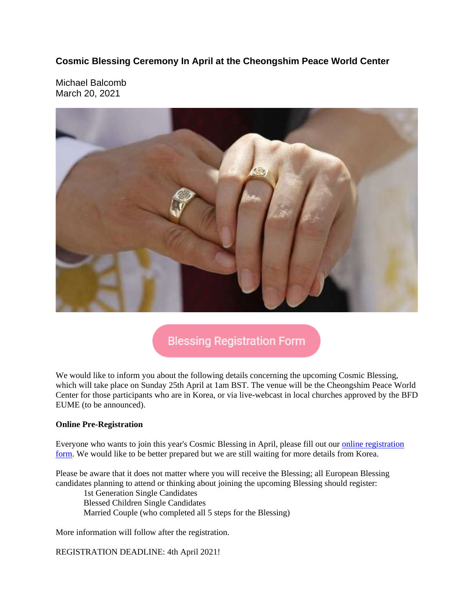**Cosmic Blessing Ceremony In April at the Cheongshim Peace World Center**

Michael Balcomb March 20, 2021



## **Blessing Registration Form**

We would like to inform you about the following details concerning the upcoming Cosmic Blessing, which will take place on Sunday 25th April at 1am BST. The venue will be the Cheongshim Peace World Center for those participants who are in Korea, or via live-webcast in local churches approved by the BFD EUME (to be announced).

#### **Online Pre-Registration**

Everyone who wants to join this year's Cosmic Blessing in April, please fill out our online registration form. We would like to be better prepared but we are still waiting for more details from Korea.

Please be aware that it does not matter where you will receive the Blessing; all European Blessing candidates planning to attend or thinking about joining the upcoming Blessing should register:

1st Generation Single Candidates Blessed Children Single Candidates Married Couple (who completed all 5 steps for the Blessing)

More information will follow after the registration.

REGISTRATION DEADLINE: 4th April 2021!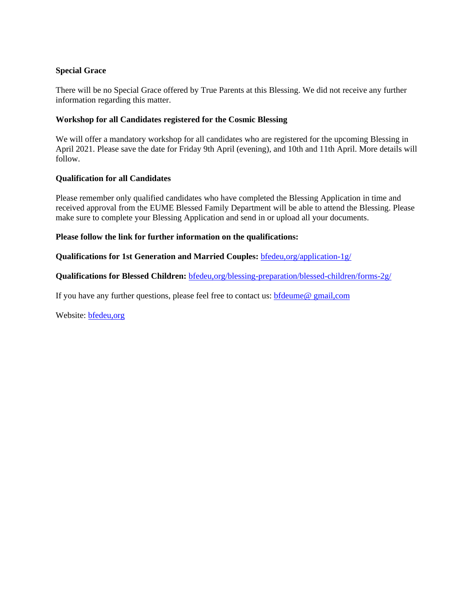#### **Special Grace**

There will be no Special Grace offered by True Parents at this Blessing. We did not receive any further information regarding this matter.

#### **Workshop for all Candidates registered for the Cosmic Blessing**

We will offer a mandatory workshop for all candidates who are registered for the upcoming Blessing in April 2021. Please save the date for Friday 9th April (evening), and 10th and 11th April. More details will follow.

#### **Qualification for all Candidates**

Please remember only qualified candidates who have completed the Blessing Application in time and received approval from the EUME Blessed Family Department will be able to attend the Blessing. Please make sure to complete your Blessing Application and send in or upload all your documents.

#### **Please follow the link for further information on the qualifications:**

#### **Qualifications for 1st Generation and Married Couples:** bfedeu,org/application-1g/

**Qualifications for Blessed Children:** bfedeu,org/blessing-preparation/blessed-children/forms-2g/

If you have any further questions, please feel free to contact us: bfdeume@ gmail,com

Website: bfedeu,org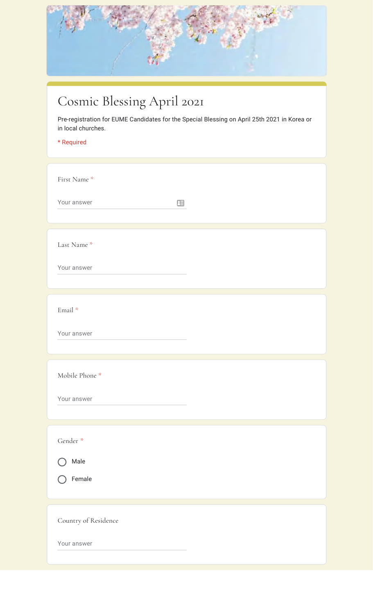

# Cosmic Blessing April 2021

Pre-registration for EUME Candidates for the Special Blessing on April 25th 2021 in Korea or in local churches.

### \* Required

| First Name *<br>Your answer<br>田    |
|-------------------------------------|
| Last Name*<br>Your answer           |
| Email *<br>Your answer              |
| Mobile Phone *<br>Your answer       |
| Gender *<br>Male<br>Female          |
| Country of Residence<br>Your answer |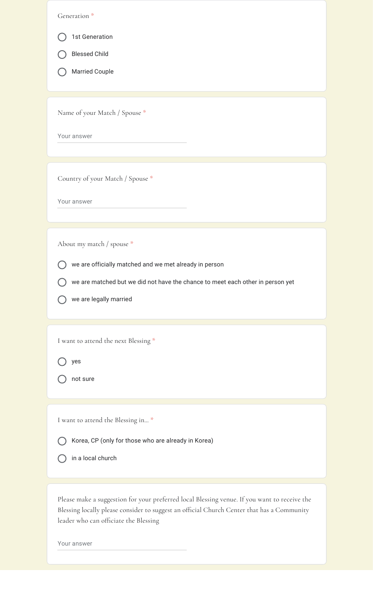| 1st Generation<br><b>Blessed Child</b><br><b>Married Couple</b><br>Name of your Match / Spouse *<br>Your answer<br>Country of your Match / Spouse *<br>Your answer<br>About my match / spouse *<br>we are officially matched and we met already in person<br>we are matched but we did not have the chance to meet each other in person yet<br>we are legally married<br>I want to attend the next Blessing *<br>yes<br>not sure<br>I want to attend the Blessing in *<br>Korea, CP (only for those who are already in Korea)<br>in a local church<br>Please make a suggestion for your preferred local Blessing venue. If you want to receive the<br>Blessing locally please consider to suggest an official Church Center that has a Community<br>leader who can officiate the Blessing<br>Your answer | Generation <sup>*</sup> |
|----------------------------------------------------------------------------------------------------------------------------------------------------------------------------------------------------------------------------------------------------------------------------------------------------------------------------------------------------------------------------------------------------------------------------------------------------------------------------------------------------------------------------------------------------------------------------------------------------------------------------------------------------------------------------------------------------------------------------------------------------------------------------------------------------------|-------------------------|
|                                                                                                                                                                                                                                                                                                                                                                                                                                                                                                                                                                                                                                                                                                                                                                                                          |                         |
|                                                                                                                                                                                                                                                                                                                                                                                                                                                                                                                                                                                                                                                                                                                                                                                                          |                         |
|                                                                                                                                                                                                                                                                                                                                                                                                                                                                                                                                                                                                                                                                                                                                                                                                          |                         |
|                                                                                                                                                                                                                                                                                                                                                                                                                                                                                                                                                                                                                                                                                                                                                                                                          |                         |
|                                                                                                                                                                                                                                                                                                                                                                                                                                                                                                                                                                                                                                                                                                                                                                                                          |                         |
|                                                                                                                                                                                                                                                                                                                                                                                                                                                                                                                                                                                                                                                                                                                                                                                                          |                         |
|                                                                                                                                                                                                                                                                                                                                                                                                                                                                                                                                                                                                                                                                                                                                                                                                          |                         |
|                                                                                                                                                                                                                                                                                                                                                                                                                                                                                                                                                                                                                                                                                                                                                                                                          |                         |
|                                                                                                                                                                                                                                                                                                                                                                                                                                                                                                                                                                                                                                                                                                                                                                                                          |                         |
|                                                                                                                                                                                                                                                                                                                                                                                                                                                                                                                                                                                                                                                                                                                                                                                                          |                         |
|                                                                                                                                                                                                                                                                                                                                                                                                                                                                                                                                                                                                                                                                                                                                                                                                          |                         |
|                                                                                                                                                                                                                                                                                                                                                                                                                                                                                                                                                                                                                                                                                                                                                                                                          |                         |
|                                                                                                                                                                                                                                                                                                                                                                                                                                                                                                                                                                                                                                                                                                                                                                                                          |                         |
|                                                                                                                                                                                                                                                                                                                                                                                                                                                                                                                                                                                                                                                                                                                                                                                                          |                         |
|                                                                                                                                                                                                                                                                                                                                                                                                                                                                                                                                                                                                                                                                                                                                                                                                          |                         |
|                                                                                                                                                                                                                                                                                                                                                                                                                                                                                                                                                                                                                                                                                                                                                                                                          |                         |
|                                                                                                                                                                                                                                                                                                                                                                                                                                                                                                                                                                                                                                                                                                                                                                                                          |                         |
|                                                                                                                                                                                                                                                                                                                                                                                                                                                                                                                                                                                                                                                                                                                                                                                                          |                         |
|                                                                                                                                                                                                                                                                                                                                                                                                                                                                                                                                                                                                                                                                                                                                                                                                          |                         |
|                                                                                                                                                                                                                                                                                                                                                                                                                                                                                                                                                                                                                                                                                                                                                                                                          |                         |
|                                                                                                                                                                                                                                                                                                                                                                                                                                                                                                                                                                                                                                                                                                                                                                                                          |                         |
|                                                                                                                                                                                                                                                                                                                                                                                                                                                                                                                                                                                                                                                                                                                                                                                                          |                         |
|                                                                                                                                                                                                                                                                                                                                                                                                                                                                                                                                                                                                                                                                                                                                                                                                          |                         |
|                                                                                                                                                                                                                                                                                                                                                                                                                                                                                                                                                                                                                                                                                                                                                                                                          |                         |
|                                                                                                                                                                                                                                                                                                                                                                                                                                                                                                                                                                                                                                                                                                                                                                                                          |                         |